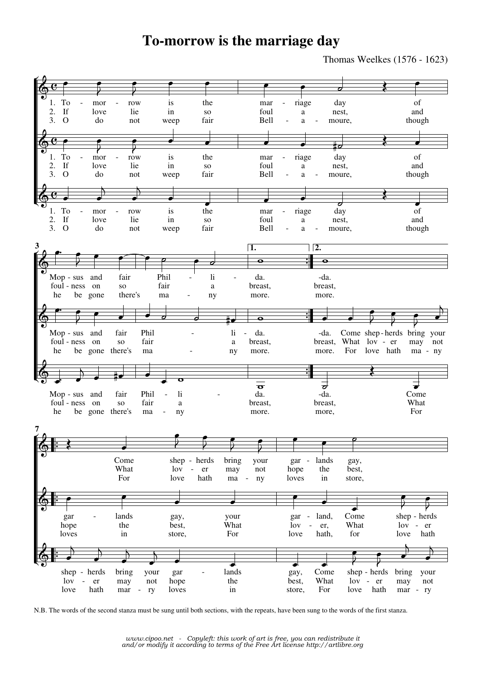## **To-morrow is the marriage day**

Thomas Weelkes (1576 - 1623)



N.B. The words of the second stanza must be sung until both sections, with the repeats, have been sung to the words of the first stanza.

*www.cipoo.net - Copyleft: this work of art is free, you can redistribute it and/or modify it according to terms of the Free Art license http://artlibre.org*